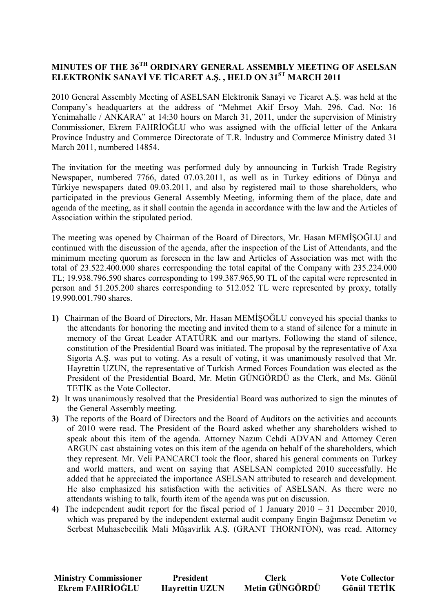## **MINUTES OF THE 36TH ORDINARY GENERAL ASSEMBLY MEETING OF ASELSAN ELEKTRONİK SANAYİ VE TİCARET A.Ş., HELD ON 31<sup>ST</sup> MARCH 2011**

2010 General Assembly Meeting of ASELSAN Elektronik Sanayi ve Ticaret A.Ş. was held at the Company's headquarters at the address of "Mehmet Akif Ersoy Mah. 296. Cad. No: 16 Yenimahalle / ANKARA" at 14:30 hours on March 31, 2011, under the supervision of Ministry Commissioner, Ekrem FAHRİOĞLU who was assigned with the official letter of the Ankara Province Industry and Commerce Directorate of T.R. Industry and Commerce Ministry dated 31 March 2011, numbered 14854.

The invitation for the meeting was performed duly by announcing in Turkish Trade Registry Newspaper, numbered 7766, dated 07.03.2011, as well as in Turkey editions of Dünya and Türkiye newspapers dated 09.03.2011, and also by registered mail to those shareholders, who participated in the previous General Assembly Meeting, informing them of the place, date and agenda of the meeting, as it shall contain the agenda in accordance with the law and the Articles of Association within the stipulated period.

The meeting was opened by Chairman of the Board of Directors, Mr. Hasan MEMİŞOĞLU and continued with the discussion of the agenda, after the inspection of the List of Attendants, and the minimum meeting quorum as foreseen in the law and Articles of Association was met with the total of 23.522.400.000 shares corresponding the total capital of the Company with 235.224.000 TL; 19.938.796.590 shares corresponding to 199.387.965,90 TL of the capital were represented in person and 51.205.200 shares corresponding to 512.052 TL were represented by proxy, totally 19.990.001.790 shares.

- 1) Chairman of the Board of Directors, Mr. Hasan MEMISOGLU conveyed his special thanks to the attendants for honoring the meeting and invited them to a stand of silence for a minute in memory of the Great Leader ATATÜRK and our martyrs. Following the stand of silence, constitution of the Presidential Board was initiated. The proposal by the representative of Axa Sigorta A.Ş. was put to voting. As a result of voting, it was unanimously resolved that Mr. Hayrettin UZUN, the representative of Turkish Armed Forces Foundation was elected as the President of the Presidential Board, Mr. Metin GÜNGÖRDÜ as the Clerk, and Ms. Gönül TETİK as the Vote Collector.
- **2)** It was unanimously resolved that the Presidential Board was authorized to sign the minutes of the General Assembly meeting.
- **3)** The reports of the Board of Directors and the Board of Auditors on the activities and accounts of 2010 were read. The President of the Board asked whether any shareholders wished to speak about this item of the agenda. Attorney Nazım Cehdi ADVAN and Attorney Ceren ARGUN cast abstaining votes on this item of the agenda on behalf of the shareholders, which they represent. Mr. Veli PANCARCI took the floor, shared his general comments on Turkey and world matters, and went on saying that ASELSAN completed 2010 successfully. He added that he appreciated the importance ASELSAN attributed to research and development. He also emphasized his satisfaction with the activities of ASELSAN. As there were no attendants wishing to talk, fourth item of the agenda was put on discussion.
- **4)** The independent audit report for the fiscal period of 1 January 2010 31 December 2010, which was prepared by the independent external audit company Engin Bağımsız Denetim ve Serbest Muhasebecilik Mali Müşavirlik A.Ş. (GRANT THORNTON), was read. Attorney

**Ministry Commissioner** President President Clerk Vote Collector<br> **Ekrem FAHRİOĞLU Havrettin UZUN Metin GÜNGÖRDÜ Gönül TETİK** Ekrem FAHRİOĞLU Havrettin UZUN Metin GÜNGÖRDÜ Gönül TETİK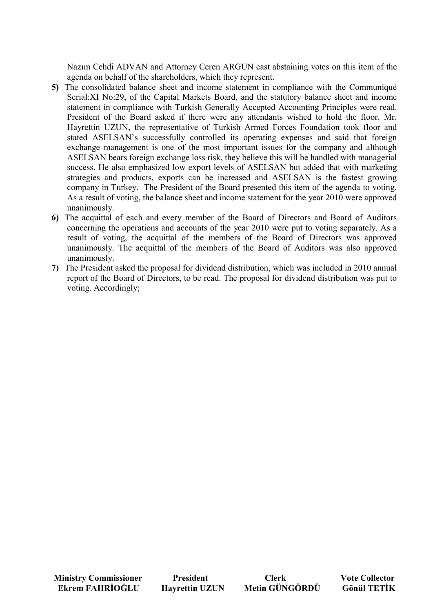Nazım Cehdi ADVAN and Attorney Ceren ARGUN cast abstaining votes on this item of the agenda on behalf of the shareholders, which they represent.

- **5)** The consolidated balance sheet and income statement in compliance with the Communiqué Serial:XI No:29, of the Capital Markets Board, and the statutory balance sheet and income statement in compliance with Turkish Generally Accepted Accounting Principles were read. President of the Board asked if there were any attendants wished to hold the floor. Mr. Hayrettin UZUN, the representative of Turkish Armed Forces Foundation took floor and stated ASELSAN's successfully controlled its operating expenses and said that foreign exchange management is one of the most important issues for the company and although ASELSAN bears foreign exchange loss risk, they believe this will be handled with managerial success. He also emphasized low export levels of ASELSAN but added that with marketing strategies and products, exports can be increased and ASELSAN is the fastest growing company in Turkey. The President of the Board presented this item of the agenda to voting. As a result of voting, the balance sheet and income statement for the year 2010 were approved unanimously.
- **6)** The acquittal of each and every member of the Board of Directors and Board of Auditors concerning the operations and accounts of the year 2010 were put to voting separately. As a result of voting, the acquittal of the members of the Board of Directors was approved unanimously. The acquittal of the members of the Board of Auditors was also approved unanimously.
- **7)** The President asked the proposal for dividend distribution, which was included in 2010 annual report of the Board of Directors, to be read. The proposal for dividend distribution was put to voting. Accordingly;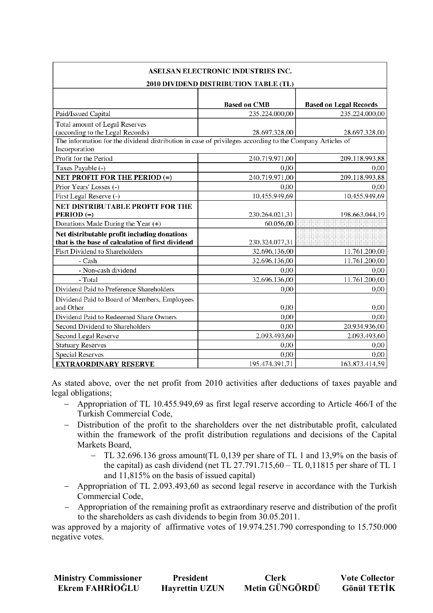| ASELSAN ELECTRONIC INDUSTRIES INC.<br>2010 DIVIDEND DISTRIBUTION TABLE (TL)                                               |                     |                               |  |  |
|---------------------------------------------------------------------------------------------------------------------------|---------------------|-------------------------------|--|--|
|                                                                                                                           |                     |                               |  |  |
|                                                                                                                           | <b>Based on CMB</b> | <b>Based on Legal Records</b> |  |  |
| Paid/Issued Capital                                                                                                       | 235.224.000,00      | 235.224.000.00                |  |  |
| Total amount of Legal Reserves                                                                                            |                     |                               |  |  |
| (according to the Legal Records)                                                                                          | 28.697.328,00       | 28.697.328,00                 |  |  |
| The information for the dividend distribution in case of privileges according to the Company Articles of<br>Incorporation |                     |                               |  |  |
| Profit for the Period                                                                                                     | 240.719.971,00      | 209.118.993,88                |  |  |
| Taxes Payable (-)                                                                                                         | 0.00                | 0.00                          |  |  |
| NET PROFIT FOR THE PERIOD (=)                                                                                             | 240.719.971,00      | 209.118.993,88                |  |  |
| Prior Years' Losses (-)                                                                                                   | 0,00                | 0,00                          |  |  |
| First Legal Reserve (-)                                                                                                   | 10.455.949,69       | 10.455.949,69                 |  |  |
| NET DISTRIBUTABLE PROFIT FOR THE                                                                                          |                     |                               |  |  |
| PERIOD $(=)$                                                                                                              | 230.264.021,31      | 198.663.044,19                |  |  |
| Donations Made During the Year (+)                                                                                        | 60.056,00           |                               |  |  |
| Net distributable profit including donations                                                                              |                     |                               |  |  |
| that is the base of calculation of first dividend                                                                         | 230.324.077,31      |                               |  |  |
| Fisrt Dividend to Shareholders                                                                                            | 32.696.136,00       | 11.761.200,00                 |  |  |
| - Cash                                                                                                                    | 32.696.136,00       | 11.761.200,00                 |  |  |
| - Non-cash dividend                                                                                                       | 0,00                | 0,00                          |  |  |
| - Total                                                                                                                   | 32.696.136,00       | 11.761.200,00                 |  |  |
| Dividend Paid to Preference Shareholders                                                                                  | 0,00                | 0,00                          |  |  |
| Dividend Paid to Board of Members, Employees<br>and Other                                                                 | 0,00                | 0,00                          |  |  |
| Dividend Paid to Redeemed Share Owners                                                                                    | 0,00                | 0,00                          |  |  |
| Second Dividend to Shareholders                                                                                           | 0,00                | 20.934.936,00                 |  |  |
| Second Legal Reserve                                                                                                      | 2.093.493,60        | 2.093.493,60                  |  |  |
| <b>Statuary Reserves</b>                                                                                                  | 0,00                | 0,00                          |  |  |
| <b>Special Reserves</b>                                                                                                   | 0,00                | 0,00                          |  |  |
| <b>EXTRAORDINARY RESERVE</b>                                                                                              | 195.474.391,71      | 163.873.414,59                |  |  |

As stated above, over the net profit from 2010 activities after deductions of taxes payable and legal obligations;

- − Appropriation of TL 10.455.949,69 as first legal reserve according to Article 466/I of the Turkish Commercial Code,
- − Distribution of the profit to the shareholders over the net distributable profit, calculated within the framework of the profit distribution regulations and decisions of the Capital Markets Board,
	- − TL 32.696.136 gross amount(TL 0,139 per share of TL 1 and 13,9% on the basis of the capital) as cash dividend (net TL  $27.791.715,60 - \text{TL}$  0,11815 per share of TL 1 and 11,815% on the basis of issued capital)
- − Appropriation of TL 2.093.493,60 as second legal reserve in accordance with the Turkish Commercial Code,
- − Appropriation of the remaining profit as extraordinary reserve and distribution of the profit to the shareholders as cash dividends to begin from 30.05.2011.

was approved by a majority of affirmative votes of 19.974.251.790 corresponding to 15.750.000 negative votes.

| <b>Ministry Commissioner</b> | <b>President</b>      | <b>Clerk</b>   | <b>Vote Collector</b> |
|------------------------------|-----------------------|----------------|-----------------------|
| Ekrem FAHRİOĞLU              | <b>Hayrettin UZUN</b> | Metin GÜNGÖRDÜ | <b>Gönül TETİK</b>    |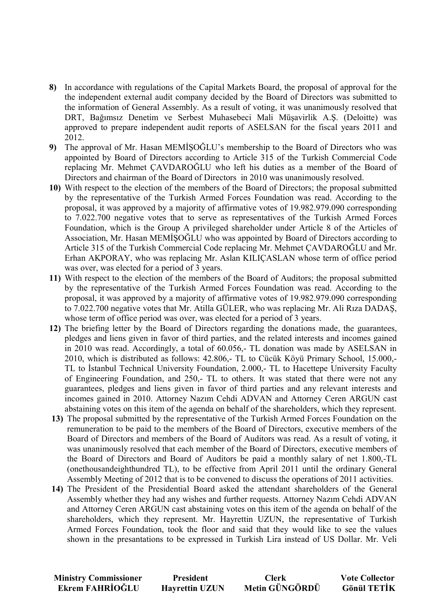- **8)** In accordance with regulations of the Capital Markets Board, the proposal of approval for the the independent external audit company decided by the Board of Directors was submitted to the information of General Assembly. As a result of voting, it was unanimously resolved that DRT, Bağımsız Denetim ve Serbest Muhasebeci Mali Müşavirlik A.Ş. (Deloitte) was approved to prepare independent audit reports of ASELSAN for the fiscal years 2011 and 2012.
- **9)** The approval of Mr. Hasan MEMISOGLU's membership to the Board of Directors who was appointed by Board of Directors according to Article 315 of the Turkish Commercial Code replacing Mr. Mehmet ÇAVDAROĞLU who left his duties as a member of the Board of Directors and chairman of the Board of Directors in 2010 was unanimously resolved.
- **10)** With respect to the election of the members of the Board of Directors; the proposal submitted by the representative of the Turkish Armed Forces Foundation was read. According to the proposal, it was approved by a majority of affirmative votes of 19.982.979.090 corresponding to 7.022.700 negative votes that to serve as representatives of the Turkish Armed Forces Foundation, which is the Group A privileged shareholder under Article 8 of the Articles of Association, Mr. Hasan MEMISOGLU who was appointed by Board of Directors according to Article 315 of the Turkish Commercial Code replacing Mr. Mehmet ÇAVDAROĞLU and Mr. Erhan AKPORAY, who was replacing Mr. Aslan KILIÇASLAN whose term of office period was over, was elected for a period of 3 years.
- **11)** With respect to the election of the members of the Board of Auditors; the proposal submitted by the representative of the Turkish Armed Forces Foundation was read. According to the proposal, it was approved by a majority of affirmative votes of 19.982.979.090 corresponding to 7.022.700 negative votes that Mr. Atilla GÜLER, who was replacing Mr. Ali Rıza DADAŞ, whose term of office period was over, was elected for a period of 3 years.
- **12)** The briefing letter by the Board of Directors regarding the donations made, the guarantees, pledges and liens given in favor of third parties, and the related interests and incomes gained in 2010 was read. Accordingly, a total of 60.056,- TL donation was made by ASELSAN in 2010, which is distributed as follows: 42.806,- TL to Cücük Köyü Primary School, 15.000,- TL to Istanbul Technical University Foundation, 2.000,- TL to Hacettepe University Faculty of Engineering Foundation, and 250,- TL to others. It was stated that there were not any guarantees, pledges and liens given in favor of third parties and any relevant interests and incomes gained in 2010. Attorney Nazım Cehdi ADVAN and Attorney Ceren ARGUN cast abstaining votes on this item of the agenda on behalf of the shareholders, which they represent.
- **13)** The proposal submitted by the representative of the Turkish Armed Forces Foundation on the remuneration to be paid to the members of the Board of Directors, executive members of the Board of Directors and members of the Board of Auditors was read. As a result of voting, it was unanimously resolved that each member of the Board of Directors, executive members of the Board of Directors and Board of Auditors be paid a monthly salary of net 1.800,-TL (onethousandeighthundred TL), to be effective from April 2011 until the ordinary General Assembly Meeting of 2012 that is to be convened to discuss the operations of 2011 activities.
- **14)** The President of the Presidential Board asked the attendant shareholders of the General Assembly whether they had any wishes and further requests. Attorney Nazım Cehdi ADVAN and Attorney Ceren ARGUN cast abstaining votes on this item of the agenda on behalf of the shareholders, which they represent. Mr. Hayrettin UZUN, the representative of Turkish Armed Forces Foundation, took the floor and said that they would like to see the values shown in the presantations to be expressed in Turkish Lira instead of US Dollar. Mr. Veli

**Ministry Commissioner 1 Alternation President Clerk Vote Collector<br>
Ekrem FAHRİOĞLU 1 Havrettin UZUN Metin GÜNGÖRDÜ Gönül TETİK** Ekrem FAHRİOĞLU Havrettin UZUN Metin GÜNGÖRDÜ Gönül TETİK